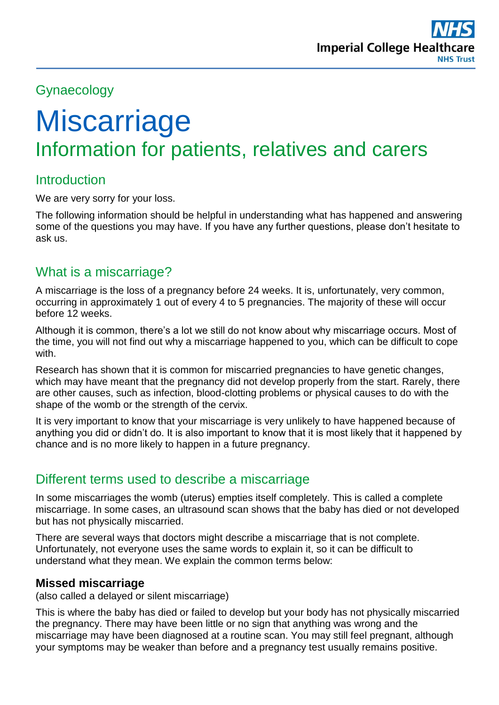# Gynaecology

# **Miscarriage** Information for patients, relatives and carers

## **Introduction**

We are very sorry for your loss.

The following information should be helpful in understanding what has happened and answering some of the questions you may have. If you have any further questions, please don't hesitate to ask us.

# What is a miscarriage?

A miscarriage is the loss of a pregnancy before 24 weeks. It is, unfortunately, very common, occurring in approximately 1 out of every 4 to 5 pregnancies. The majority of these will occur before 12 weeks.

Although it is common, there's a lot we still do not know about why miscarriage occurs. Most of the time, you will not find out why a miscarriage happened to you, which can be difficult to cope with.

Research has shown that it is common for miscarried pregnancies to have genetic changes, which may have meant that the pregnancy did not develop properly from the start. Rarely, there are other causes, such as infection, blood-clotting problems or physical causes to do with the shape of the womb or the strength of the cervix.

It is very important to know that your miscarriage is very unlikely to have happened because of anything you did or didn't do. It is also important to know that it is most likely that it happened by chance and is no more likely to happen in a future pregnancy.

### Different terms used to describe a miscarriage

In some miscarriages the womb (uterus) empties itself completely. This is called a complete miscarriage. In some cases, an ultrasound scan shows that the baby has died or not developed but has not physically miscarried.

There are several ways that doctors might describe a miscarriage that is not complete. Unfortunately, not everyone uses the same words to explain it, so it can be difficult to understand what they mean. We explain the common terms below:

#### **Missed miscarriage**

(also called a delayed or silent miscarriage)

This is where the baby has died or failed to develop but your body has not physically miscarried the pregnancy. There may have been little or no sign that anything was wrong and the miscarriage may have been diagnosed at a routine scan. You may still feel pregnant, although your symptoms may be weaker than before and a pregnancy test usually remains positive.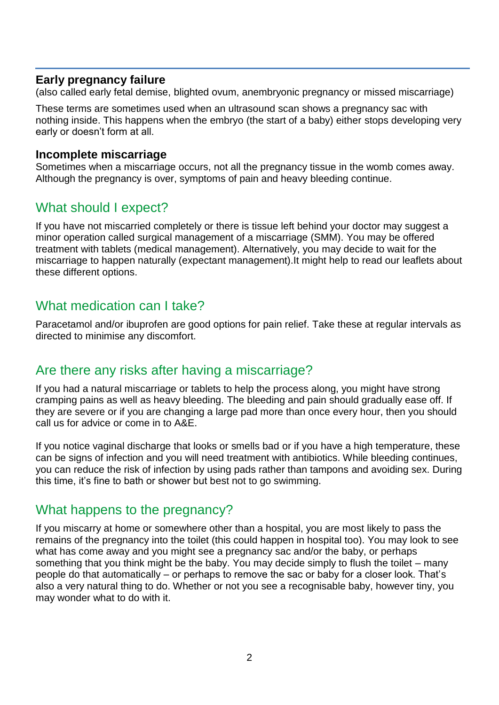#### **Early pregnancy failure**

(also called early fetal demise, blighted ovum, anembryonic pregnancy or missed miscarriage)

These terms are sometimes used when an ultrasound scan shows a pregnancy sac with nothing inside. This happens when the embryo (the start of a baby) either stops developing very early or doesn't form at all.

#### **Incomplete miscarriage**

Sometimes when a miscarriage occurs, not all the pregnancy tissue in the womb comes away. Although the pregnancy is over, symptoms of pain and heavy bleeding continue.

### What should I expect?

If you have not miscarried completely or there is tissue left behind your doctor may suggest a minor operation called surgical management of a miscarriage (SMM). You may be offered treatment with tablets (medical management). Alternatively, you may decide to wait for the miscarriage to happen naturally (expectant management).It might help to read our leaflets about these different options.

#### What medication can I take?

Paracetamol and/or ibuprofen are good options for pain relief. Take these at regular intervals as directed to minimise any discomfort.

### Are there any risks after having a miscarriage?

If you had a natural miscarriage or tablets to help the process along, you might have strong cramping pains as well as heavy bleeding. The bleeding and pain should gradually ease off. If they are severe or if you are changing a large pad more than once every hour, then you should call us for advice or come in to A&E.

If you notice vaginal discharge that looks or smells bad or if you have a high temperature, these can be signs of infection and you will need treatment with antibiotics. While bleeding continues, you can reduce the risk of infection by using pads rather than tampons and avoiding sex. During this time, it's fine to bath or shower but best not to go swimming.

### What happens to the pregnancy?

If you miscarry at home or somewhere other than a hospital, you are most likely to pass the remains of the pregnancy into the toilet (this could happen in hospital too). You may look to see what has come away and you might see a pregnancy sac and/or the baby, or perhaps something that you think might be the baby. You may decide simply to flush the toilet – many people do that automatically – or perhaps to remove the sac or baby for a closer look. That's also a very natural thing to do. Whether or not you see a recognisable baby, however tiny, you may wonder what to do with it.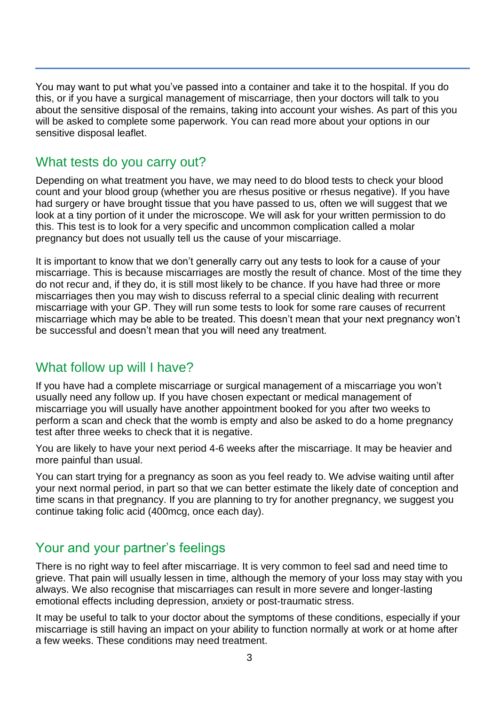You may want to put what you've passed into a container and take it to the hospital. If you do this, or if you have a surgical management of miscarriage, then your doctors will talk to you about the sensitive disposal of the remains, taking into account your wishes. As part of this you will be asked to complete some paperwork. You can read more about your options in our sensitive disposal leaflet.

## What tests do you carry out?

Depending on what treatment you have, we may need to do blood tests to check your blood count and your blood group (whether you are rhesus positive or rhesus negative). If you have had surgery or have brought tissue that you have passed to us, often we will suggest that we look at a tiny portion of it under the microscope. We will ask for your written permission to do this. This test is to look for a very specific and uncommon complication called a molar pregnancy but does not usually tell us the cause of your miscarriage.

It is important to know that we don't generally carry out any tests to look for a cause of your miscarriage. This is because miscarriages are mostly the result of chance. Most of the time they do not recur and, if they do, it is still most likely to be chance. If you have had three or more miscarriages then you may wish to discuss referral to a special clinic dealing with recurrent miscarriage with your GP. They will run some tests to look for some rare causes of recurrent miscarriage which may be able to be treated. This doesn't mean that your next pregnancy won't be successful and doesn't mean that you will need any treatment.

# What follow up will I have?

If you have had a complete miscarriage or surgical management of a miscarriage you won't usually need any follow up. If you have chosen expectant or medical management of miscarriage you will usually have another appointment booked for you after two weeks to perform a scan and check that the womb is empty and also be asked to do a home pregnancy test after three weeks to check that it is negative.

You are likely to have your next period 4-6 weeks after the miscarriage. It may be heavier and more painful than usual.

You can start trying for a pregnancy as soon as you feel ready to. We advise waiting until after your next normal period, in part so that we can better estimate the likely date of conception and time scans in that pregnancy. If you are planning to try for another pregnancy, we suggest you continue taking folic acid (400mcg, once each day).

# Your and your partner's feelings

There is no right way to feel after miscarriage. It is very common to feel sad and need time to grieve. That pain will usually lessen in time, although the memory of your loss may stay with you always. We also recognise that miscarriages can result in more severe and longer-lasting emotional effects including depression, anxiety or post-traumatic stress.

It may be useful to talk to your doctor about the symptoms of these conditions, especially if your miscarriage is still having an impact on your ability to function normally at work or at home after a few weeks. These conditions may need treatment.